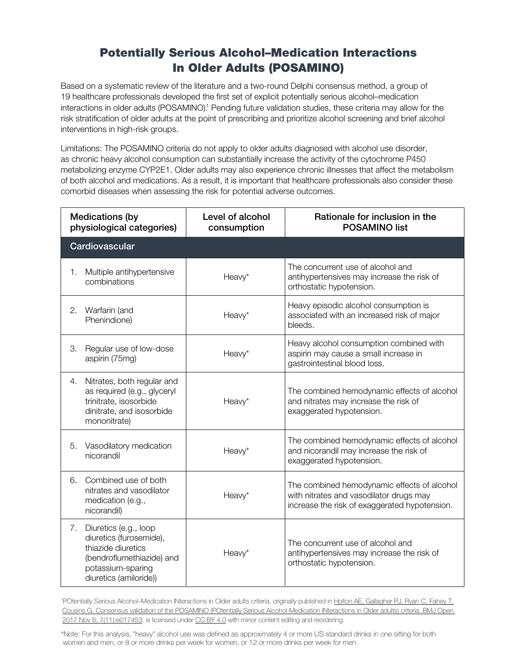## **Potentially Serious Alcohol–Medication Interactions In Older Adults (POSAMINO)**

Based on a systematic review of the literature and a two-round Delphi consensus method, a group of 19 healthcare professionals developed the first set of explicit potentially serious alcohol–medication interactions in older adults (POSAMINO).<sup>1</sup> Pending future validation studies, these criteria may allow for the risk stratification of older adults at the point of prescribing and prioritize alcohol screening and brief alcohol interventions in high-risk groups.

Limitations: The POSAMINO criteria do not apply to older adults diagnosed with alcohol use disorder, as chronic heavy alcohol consumption can substantially increase the activity of the cytochrome P450 metabolizing enzyme CYP2E1. Older adults may also experience chronic illnesses that affect the metabolism of both alcohol and medications. As a result, it is important that healthcare professionals also consider these comorbid diseases when assessing the risk for potential adverse outcomes.

| <b>Medications (by</b><br>physiological categories) |                                                                                                                                                    | Level of alcohol<br>consumption | Rationale for inclusion in the<br><b>POSAMINO list</b>                                                                                  |
|-----------------------------------------------------|----------------------------------------------------------------------------------------------------------------------------------------------------|---------------------------------|-----------------------------------------------------------------------------------------------------------------------------------------|
| Cardiovascular                                      |                                                                                                                                                    |                                 |                                                                                                                                         |
| 1.                                                  | Multiple antihypertensive<br>combinations                                                                                                          | Heavy*                          | The concurrent use of alcohol and<br>antihypertensives may increase the risk of<br>orthostatic hypotension.                             |
| 2.                                                  | Warfarin (and<br>Phenindione)                                                                                                                      | Heavy*                          | Heavy episodic alcohol consumption is<br>associated with an increased risk of major<br>bleeds.                                          |
| З.                                                  | Regular use of low-dose<br>aspirin (75mg)                                                                                                          | Heavy*                          | Heavy alcohol consumption combined with<br>aspirin may cause a small increase in<br>gastrointestinal blood loss.                        |
| 4.                                                  | Nitrates, both regular and<br>as required (e.g., glyceryl<br>trinitrate, isosorbide<br>dinitrate, and isosorbide<br>mononitrate)                   | Heavy*                          | The combined hemodynamic effects of alcohol<br>and nitrates may increase the risk of<br>exaggerated hypotension.                        |
| 5.                                                  | Vasodilatory medication<br>nicorandil                                                                                                              | Heavy*                          | The combined hemodynamic effects of alcohol<br>and nicorandil may increase the risk of<br>exaggerated hypotension.                      |
| 6.                                                  | Combined use of both<br>nitrates and vasodilator<br>medication (e.g.,<br>nicorandil)                                                               | Heavy*                          | The combined hemodynamic effects of alcohol<br>with nitrates and vasodilator drugs may<br>increase the risk of exaggerated hypotension. |
| 7.                                                  | Diuretics (e.g., loop<br>diuretics (furosemide),<br>thiazide diuretics<br>(bendroflumethiazide) and<br>potassium-sparing<br>diuretics (amiloride)) | Heavy*                          | The concurrent use of alcohol and<br>antihypertensives may increase the risk of<br>orthostatic hypotension.                             |

<sup>1</sup>POtentially Serious Alcohol–Medication INteractions in Older adults criteria, originally published in Holton AE, Gallagher PJ, Ryan C, Fahey T, [Cousins G. Consensus validation of the POSAMINO \(POtentially Serious Alcohol-Medication INteractions in Older adults\) criteria. BMJ Open.](https://www.ncbi.nlm.nih.gov/pmc/articles/PMC5695415/pdf/bmjopen-2017-017453.pdf) 2017 Nov 8; 7(11):e017453, is licensed under [CC BY 4.0](https://creativecommons.org/licenses/by/4.0/legalcode) with minor content editing and reordering.

\*Note: For this analysis, "heavy" alcohol use was defined as approximately 4 or more US standard drinks in one sitting for both women and men, or 8 or more drinks per week for women, or 12 or more drinks per week for men.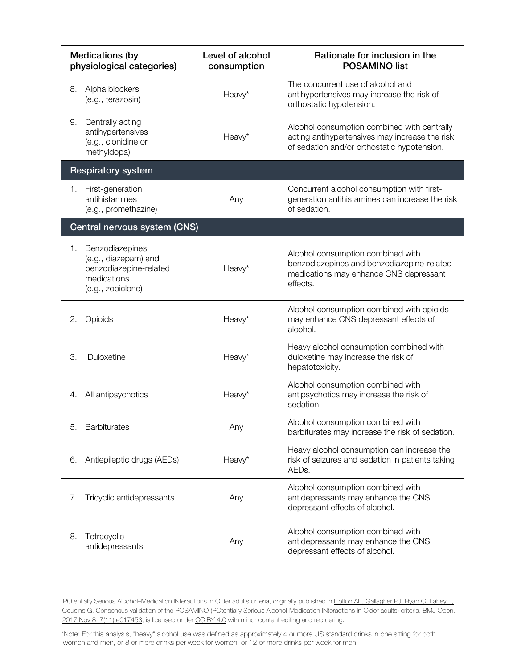| <b>Medications (by</b><br>physiological categories)                                                         | Level of alcohol<br>consumption | Rationale for inclusion in the<br><b>POSAMINO list</b>                                                                                       |  |
|-------------------------------------------------------------------------------------------------------------|---------------------------------|----------------------------------------------------------------------------------------------------------------------------------------------|--|
| Alpha blockers<br>8.<br>(e.g., terazosin)                                                                   | Heavy*                          | The concurrent use of alcohol and<br>antihypertensives may increase the risk of<br>orthostatic hypotension.                                  |  |
| Centrally acting<br>9.<br>antihypertensives<br>(e.g., clonidine or<br>methyldopa)                           | Heavy*                          | Alcohol consumption combined with centrally<br>acting antihypertensives may increase the risk<br>of sedation and/or orthostatic hypotension. |  |
| <b>Respiratory system</b>                                                                                   |                                 |                                                                                                                                              |  |
| First-generation<br>1.<br>antihistamines<br>(e.g., promethazine)                                            | Any                             | Concurrent alcohol consumption with first-<br>generation antihistamines can increase the risk<br>of sedation.                                |  |
| Central nervous system (CNS)                                                                                |                                 |                                                                                                                                              |  |
| Benzodiazepines<br>1.<br>(e.g., diazepam) and<br>benzodiazepine-related<br>medications<br>(e.g., zopiclone) | Heavy*                          | Alcohol consumption combined with<br>benzodiazepines and benzodiazepine-related<br>medications may enhance CNS depressant<br>effects.        |  |
| Opioids<br>2.                                                                                               | Heavy*                          | Alcohol consumption combined with opioids<br>may enhance CNS depressant effects of<br>alcohol.                                               |  |
| Duloxetine<br>З.                                                                                            | Heavy*                          | Heavy alcohol consumption combined with<br>duloxetine may increase the risk of<br>hepatotoxicity.                                            |  |
| All antipsychotics<br>4.                                                                                    | Heavy*                          | Alcohol consumption combined with<br>antipsychotics may increase the risk of<br>sedation.                                                    |  |
| Barbiturates<br>5.                                                                                          | Any                             | Alcohol consumption combined with<br>barbiturates may increase the risk of sedation.                                                         |  |
| Antiepileptic drugs (AEDs)<br>6.                                                                            | Heavy*                          | Heavy alcohol consumption can increase the<br>risk of seizures and sedation in patients taking<br>AEDs.                                      |  |
| Tricyclic antidepressants<br>7.                                                                             | Any                             | Alcohol consumption combined with<br>antidepressants may enhance the CNS<br>depressant effects of alcohol.                                   |  |
| Tetracyclic<br>8.<br>antidepressants                                                                        | Any                             | Alcohol consumption combined with<br>antidepressants may enhance the CNS<br>depressant effects of alcohol.                                   |  |

<sup>1</sup>POtentially Serious Alcohol–Medication INteractions in Older adults criteria, originally published in Holton AE, Gallagher PJ, Ryan C, Fahey T, [Cousins G. Consensus validation of the POSAMINO \(POtentially Serious Alcohol-Medication INteractions in Older adults\) criteria. BMJ Open.](https://www.ncbi.nlm.nih.gov/pmc/articles/PMC5695415/pdf/bmjopen-2017-017453.pd)  [2017 Nov 8; 7\(11\):e017453,](https://www.ncbi.nlm.nih.gov/pmc/articles/PMC5695415/pdf/bmjopen-2017-017453.pd) is licensed unde[r CC BY 4.0](https://creativecommons.org/licenses/by/4.0/legalcode) with minor content editing and reordering.

\*Note: For this analysis, "heavy" alcohol use was defined as approximately 4 or more US standard drinks in one sitting for both women and men, or 8 or more drinks per week for women, or 12 or more drinks per week for men.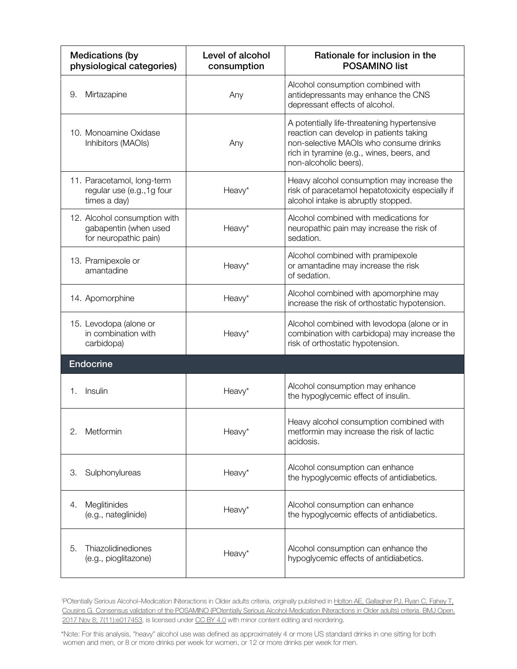| <b>Medications (by</b><br>physiological categories)                            | Level of alcohol<br>consumption | Rationale for inclusion in the<br><b>POSAMINO list</b>                                                                                                                                                 |
|--------------------------------------------------------------------------------|---------------------------------|--------------------------------------------------------------------------------------------------------------------------------------------------------------------------------------------------------|
| Mirtazapine<br>9.                                                              | Any                             | Alcohol consumption combined with<br>antidepressants may enhance the CNS<br>depressant effects of alcohol.                                                                                             |
| 10. Monoamine Oxidase<br>Inhibitors (MAOIs)                                    | Any                             | A potentially life-threatening hypertensive<br>reaction can develop in patients taking<br>non-selective MAOIs who consume drinks<br>rich in tyramine (e.g., wines, beers, and<br>non-alcoholic beers). |
| 11. Paracetamol, long-term<br>regular use (e.g., 1g four<br>times a day)       | Heavy*                          | Heavy alcohol consumption may increase the<br>risk of paracetamol hepatotoxicity especially if<br>alcohol intake is abruptly stopped.                                                                  |
| 12. Alcohol consumption with<br>gabapentin (when used<br>for neuropathic pain) | Heavy*                          | Alcohol combined with medications for<br>neuropathic pain may increase the risk of<br>sedation.                                                                                                        |
| 13. Pramipexole or<br>amantadine                                               | Heavy*                          | Alcohol combined with pramipexole<br>or amantadine may increase the risk<br>of sedation.                                                                                                               |
| 14. Apomorphine                                                                | Heavy*                          | Alcohol combined with apomorphine may<br>increase the risk of orthostatic hypotension.                                                                                                                 |
| 15. Levodopa (alone or<br>in combination with<br>carbidopa)                    | Heavy*                          | Alcohol combined with levodopa (alone or in<br>combination with carbidopa) may increase the<br>risk of orthostatic hypotension.                                                                        |
| <b>Endocrine</b>                                                               |                                 |                                                                                                                                                                                                        |
| Insulin<br>1.                                                                  | Heavy*                          | Alcohol consumption may enhance<br>the hypoglycemic effect of insulin.                                                                                                                                 |
| Metformin<br>2.                                                                | Heavy*                          | Heavy alcohol consumption combined with<br>metformin may increase the risk of lactic<br>acidosis.                                                                                                      |
| Sulphonylureas<br>З.                                                           | Heavy*                          | Alcohol consumption can enhance<br>the hypoglycemic effects of antidiabetics.                                                                                                                          |
| Meglitinides<br>4.<br>(e.g., nateglinide)                                      | Heavy*                          | Alcohol consumption can enhance<br>the hypoglycemic effects of antidiabetics.                                                                                                                          |
| Thiazolidinediones<br>5.<br>(e.g., pioglitazone)                               | Heavy*                          | Alcohol consumption can enhance the<br>hypoglycemic effects of antidiabetics.                                                                                                                          |

<sup>1</sup>POtentially Serious Alcohol–Medication INteractions in Older adults criteria, originally published in Holton AE, Gallagher PJ, Ryan C, Fahey T, [Cousins G. Consensus validation of the POSAMINO \(POtentially Serious Alcohol-Medication INteractions in Older adults\) criteria. BMJ Open.](https://www.ncbi.nlm.nih.gov/pmc/articles/PMC5695415/pdf/bmjopen-2017-017453.pd)  [2017 Nov 8; 7\(11\):e017453,](https://www.ncbi.nlm.nih.gov/pmc/articles/PMC5695415/pdf/bmjopen-2017-017453.pd) is licensed unde[r CC BY 4.0](https://creativecommons.org/licenses/by/4.0/legalcode) with minor content editing and reordering.

\*Note: For this analysis, "heavy" alcohol use was defined as approximately 4 or more US standard drinks in one sitting for both women and men, or 8 or more drinks per week for women, or 12 or more drinks per week for men.